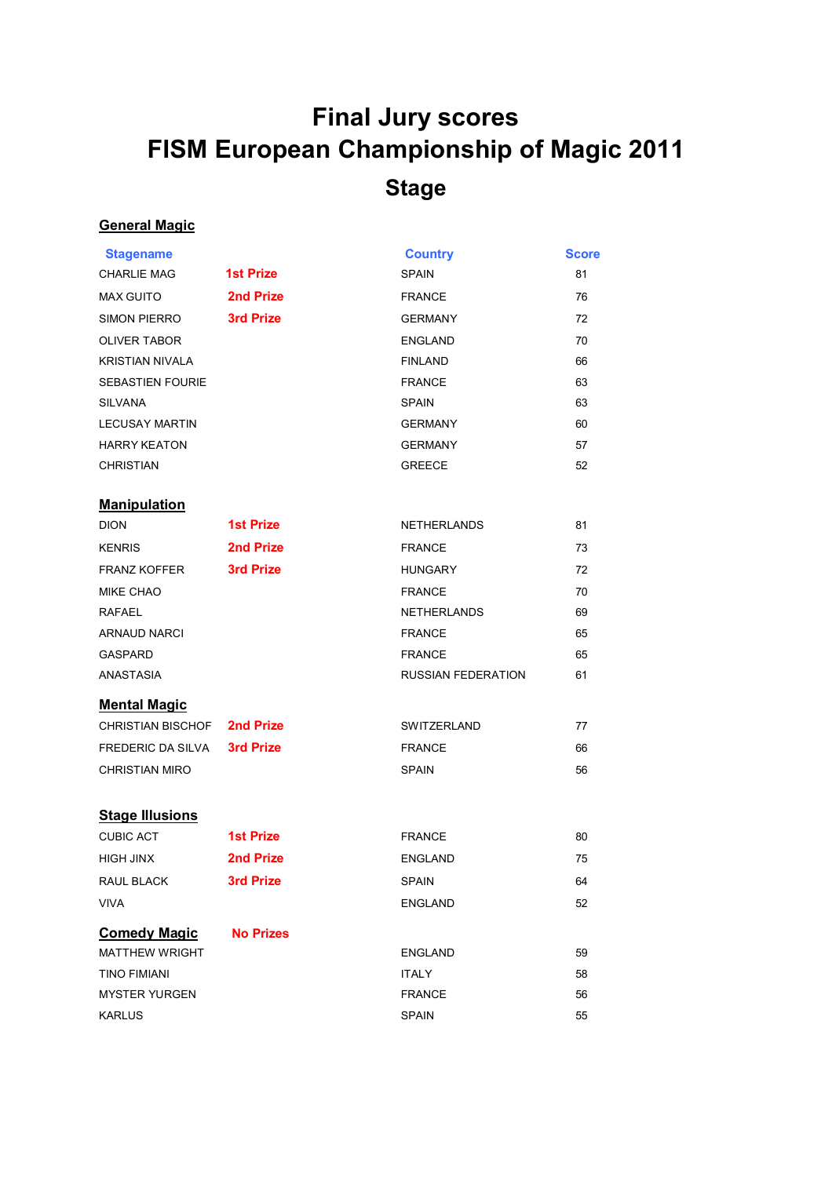## **Final Jury scores FISM European Championship of Magic 2011 Stage**

## **General Magic**

| <b>Stagename</b>            |                  | <b>Country</b>     | <b>Score</b> |
|-----------------------------|------------------|--------------------|--------------|
| <b>CHARLIE MAG</b>          | <b>1st Prize</b> | <b>SPAIN</b>       | 81           |
| <b>MAX GUITO</b>            | 2nd Prize        | <b>FRANCE</b>      | 76           |
| <b>SIMON PIERRO</b>         | 3rd Prize        | <b>GERMANY</b>     | 72           |
| <b>OLIVER TABOR</b>         |                  | <b>ENGLAND</b>     | 70           |
| <b>KRISTIAN NIVALA</b>      |                  | <b>FINLAND</b>     | 66           |
| <b>SEBASTIEN FOURIE</b>     |                  | <b>FRANCE</b>      | 63           |
| <b>SILVANA</b>              |                  | <b>SPAIN</b>       | 63           |
| <b>LECUSAY MARTIN</b>       |                  | <b>GERMANY</b>     | 60           |
| <b>HARRY KEATON</b>         |                  | <b>GERMANY</b>     | 57           |
| <b>CHRISTIAN</b>            |                  | <b>GREECE</b>      | 52           |
| <b>Manipulation</b>         |                  |                    |              |
| <b>DION</b>                 | <b>1st Prize</b> | <b>NETHERLANDS</b> | 81           |
| <b>KENRIS</b>               | 2nd Prize        | <b>FRANCE</b>      | 73           |
| <b>FRANZ KOFFER</b>         | 3rd Prize        | <b>HUNGARY</b>     | 72           |
| <b>MIKE CHAO</b>            |                  | <b>FRANCE</b>      | 70           |
| <b>RAFAEL</b>               |                  | <b>NETHERLANDS</b> | 69           |
| <b>ARNAUD NARCI</b>         |                  | <b>FRANCE</b>      | 65           |
| <b>GASPARD</b>              |                  | <b>FRANCE</b>      | 65           |
| ANASTASIA                   |                  | RUSSIAN FEDERATION | 61           |
| <b>Mental Magic</b>         |                  |                    |              |
| CHRISTIAN BISCHOF 2nd Prize | SWITZERLAND      |                    | 77           |
| FREDERIC DA SILVA           | <b>3rd Prize</b> | <b>FRANCE</b>      | 66           |
| <b>CHRISTIAN MIRO</b>       |                  | <b>SPAIN</b>       | 56           |
| <b>Stage Illusions</b>      |                  |                    |              |
| <b>CUBIC ACT</b>            | <b>1st Prize</b> | <b>FRANCE</b>      | 80           |
| <b>HIGH JINX</b>            | 2nd Prize        | <b>ENGLAND</b>     | 75           |
| <b>RAUL BLACK</b>           | 3rd Prize        | <b>SPAIN</b>       | 64           |
| <b>VIVA</b>                 |                  | <b>ENGLAND</b>     | 52           |
| <b>Comedy Magic</b>         | <b>No Prizes</b> |                    |              |
| <b>MATTHEW WRIGHT</b>       |                  | <b>ENGLAND</b>     | 59           |
| <b>TINO FIMIANI</b>         |                  | <b>ITALY</b>       | 58           |
| <b>MYSTER YURGEN</b>        |                  | <b>FRANCE</b>      | 56           |
| <b>KARLUS</b>               |                  | <b>SPAIN</b>       | 55           |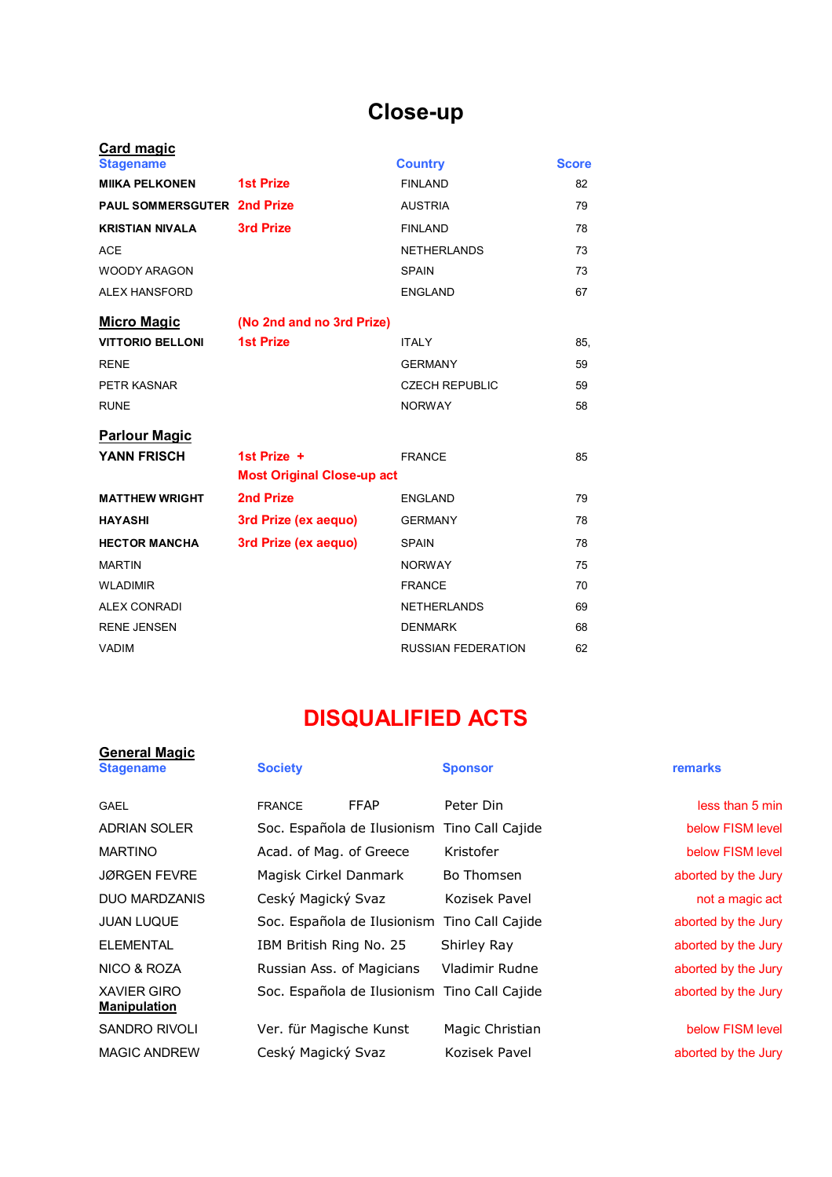## **Close-up**

| <b>Card magic</b>                  |                                   |                           |              |
|------------------------------------|-----------------------------------|---------------------------|--------------|
| <b>Stagename</b>                   |                                   | <b>Country</b>            | <b>Score</b> |
| <b>MIIKA PELKONEN</b>              | <b>1st Prize</b>                  | <b>FINLAND</b>            | 82           |
| <b>PAUL SOMMERSGUTER 2nd Prize</b> |                                   | <b>AUSTRIA</b>            | 79           |
| <b>KRISTIAN NIVALA</b>             | <b>3rd Prize</b>                  | <b>FINLAND</b>            | 78           |
| <b>ACE</b>                         |                                   | <b>NETHERLANDS</b>        | 73           |
| <b>WOODY ARAGON</b>                |                                   | <b>SPAIN</b>              | 73           |
| <b>ALEX HANSFORD</b>               |                                   | <b>ENGLAND</b>            | 67           |
| <b>Micro Magic</b>                 | (No 2nd and no 3rd Prize)         |                           |              |
| <b>VITTORIO BELLONI</b>            | <b>1st Prize</b>                  | <b>ITALY</b>              | 85.          |
| <b>RENE</b>                        |                                   | <b>GERMANY</b>            | 59           |
| PETR KASNAR                        |                                   | <b>CZECH REPUBLIC</b>     | 59           |
| <b>RUNE</b>                        |                                   | <b>NORWAY</b>             | 58           |
| <b>Parlour Magic</b>               |                                   |                           |              |
| <b>YANN FRISCH</b>                 | 1st Prize $+$                     | <b>FRANCE</b>             | 85           |
|                                    | <b>Most Original Close-up act</b> |                           |              |
| <b>MATTHEW WRIGHT</b>              | 2nd Prize                         | <b>ENGLAND</b>            | 79           |
| <b>HAYASHI</b>                     | 3rd Prize (ex aequo)              | <b>GERMANY</b>            | 78           |
| <b>HECTOR MANCHA</b>               | 3rd Prize (ex aequo)              | <b>SPAIN</b>              | 78           |
| <b>MARTIN</b>                      |                                   | <b>NORWAY</b>             | 75           |
| <b>WLADIMIR</b>                    |                                   | <b>FRANCE</b>             | 70           |
| <b>ALEX CONRADI</b>                |                                   | <b>NETHERLANDS</b>        | 69           |
| <b>RENE JENSEN</b>                 |                                   | <b>DENMARK</b>            | 68           |
| <b>VADIM</b>                       |                                   | <b>RUSSIAN FEDERATION</b> | 62           |

## **DISQUALIFIED ACTS**

| <b>General Magic</b><br><b>Stagename</b>  | <b>Society</b>                               | <b>Sponsor</b>  | remarks             |
|-------------------------------------------|----------------------------------------------|-----------------|---------------------|
| <b>GAEL</b>                               | <b>FFAP</b><br><b>FRANCE</b>                 | Peter Din       | less than 5 min     |
| <b>ADRIAN SOLER</b>                       | Soc. Española de Ilusionism Tino Call Cajide |                 | below FISM level    |
| <b>MARTINO</b>                            | Acad. of Mag. of Greece                      | Kristofer       | below FISM level    |
| <b>JØRGEN FEVRE</b>                       | Magisk Cirkel Danmark                        | Bo Thomsen      | aborted by the Jury |
| <b>DUO MARDZANIS</b>                      | Ceský Magický Svaz                           | Kozisek Pavel   | not a magic act     |
| <b>JUAN LUQUE</b>                         | Soc. Española de Ilusionism Tino Call Cajide |                 | aborted by the Jury |
| <b>ELEMENTAL</b>                          | IBM British Ring No. 25                      | Shirley Ray     | aborted by the Jury |
| NICO & ROZA                               | Russian Ass. of Magicians                    | Vladimir Rudne  | aborted by the Jury |
| <b>XAVIER GIRO</b><br><b>Manipulation</b> | Soc. Española de Ilusionism Tino Call Cajide |                 | aborted by the Jury |
| <b>SANDRO RIVOLI</b>                      | Ver. für Magische Kunst                      | Magic Christian | below FISM level    |
| <b>MAGIC ANDREW</b>                       | Ceský Magický Svaz                           | Kozisek Pavel   | aborted by the Jury |